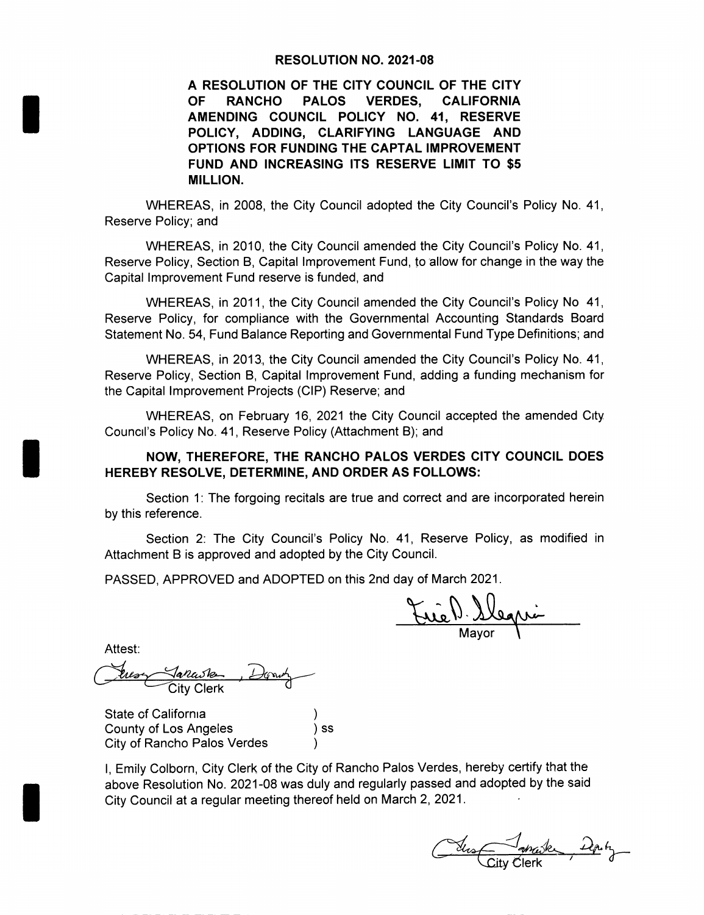#### RESOLUTION NO. 2021-08

A RESOLUTION OF THE CITY COUNCIL OF THE CITY OF RANCHO PALOS VERDES, CALIFORNIA AMENDING COUNCIL POLICY NO. 41, RESERVE POLICY, ADDING, CLARIFYING LANGUAGE AND OPTIONS FOR FUNDING THE CAPTAL IMPROVEMENT FUND AND INCREASING ITS RESERVE LIMIT TO \$5 MILLION.

WHEREAS, in 2008, the City Council adopted the City Council's Policy No. 41, Reserve Policy; and

WHEREAS, in 2010, the City Council amended the City Council's Policy No. 41, Reserve Policy, Section B, Capital Improvement Fund, to allow for change in the way the Capital Improvement Fund reserve is funded, and

WHEREAS, in 2011, the City Council amended the City Council's Policy No 41. Reserve Policy, for compliance with the Governmental Accounting Standards Board Statement No. 54, Fund Balance Reporting and Governmental Fund Type Definitions; and

WHEREAS, in 2013, the City Council amended the City Council's Policy No. 41, Reserve Policy, Section B, Capital Improvement Fund, adding <sup>a</sup> funding mechanism for the Capital Improvement Projects (CIP) Reserve; and

WHEREAS, on February 16, 2021 the City Council accepted the amended City Council's Policy No. 41, Reserve Policy (Attachment B); and

#### NOW, THEREFORE, THE RANCHO PALOS VERDES CITY COUNCIL DOES HEREBY RESOLVE, DETERMINE, AND ORDER AS FOLLOWS:

Section 1: The forgoing recitals are true and correct and are incorporated herein by this reference.

Section 2: The City Council's Policy No. 41, Reserve Policy, as modified in Attachment B is approved and adopted by the City Council.

PASSED, APPROVED and ADOPTED on this 2nd day of March 2021.

rie 1) Slegri

Attest:

City Clerk

State of California County of Los Angeles (a) ss City of Rancho Palos Verdes

I, Emily Colborn, City Clerk of the City of Rancho Palos Verdes, hereby certify that the above Resolution No. 2021- 08 was duly and regularly passed and adopted by the said City Council at <sup>a</sup> regular meeting thereof held on March 2, 2021.

Somake y Clerk '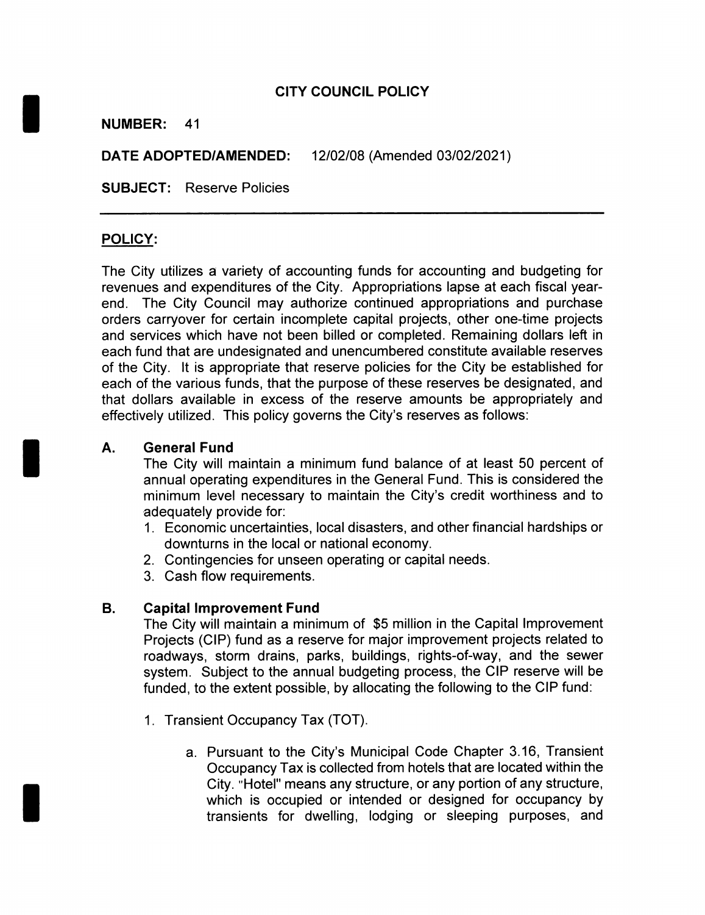## CITY COUNCIL POLICY

#### NUMBER: 41

DATE ADOPTED/AMENDED: 12/02/08 (Amended 03/02/2021)

SUBJECT: Reserve Policies

#### POLICY:

The City utilizes a variety of accounting funds for accounting and budgeting for revenues and expenditures of the City. Appropriations lapse at each fiscal yearend. The City Council may authorize continued appropriations and purchase orders carryover for certain incomplete capital projects, other one-time projects and services which have not been billed or completed. Remaining dollars left in each fund that are undesignated and unencumbered constitute available reserves of the City. It is appropriate that reserve policies for the City be established for each of the various funds, that the purpose of these reserves be designated, and that dollars available in excess of the reserve amounts be appropriately and effectively utilized. This policy governs the City's reserves as follows:

A. General Fund<br>The City will maintain a minimum fund balance of at least 50 percent of<br>Annual operating expenditures in the General Fund. This is considered the annual operating expenditures in the General Fund. This is considered the minimum level necessary to maintain the City's credit worthiness and to adequately provide for:

- 1. Economic uncertainties, local disasters, and other financial hardships or downturns in the local or national economy.
- 2. Contingencies for unseen operating or capital needs.
- 3. Cash flow requirements.

#### B. Capital Improvement Fund

The City will maintain <sup>a</sup> minimum of \$<sup>5</sup> million in the Capital Improvement Projects (CIP) fund as a reserve for major improvement projects related to roadways, storm drains, parks, buildings, rights-of-way, and the sewer system. Subject to the annual budgeting process, the CIP reserve will be funded, to the extent possible, by allocating the following to the CIP fund:

- 1. Transient Occupancy Tax (TOT).
	- a. Pursuant to the City's Municipal Code Chapter 3.16, Transient Occupancy Tax is collected from hotels that are located within the City. "Hotel" means any structure, or any portion of any structure, which is occupied or intended or designed for occupancy by transients for dwelling, lodging or sleeping purposes, and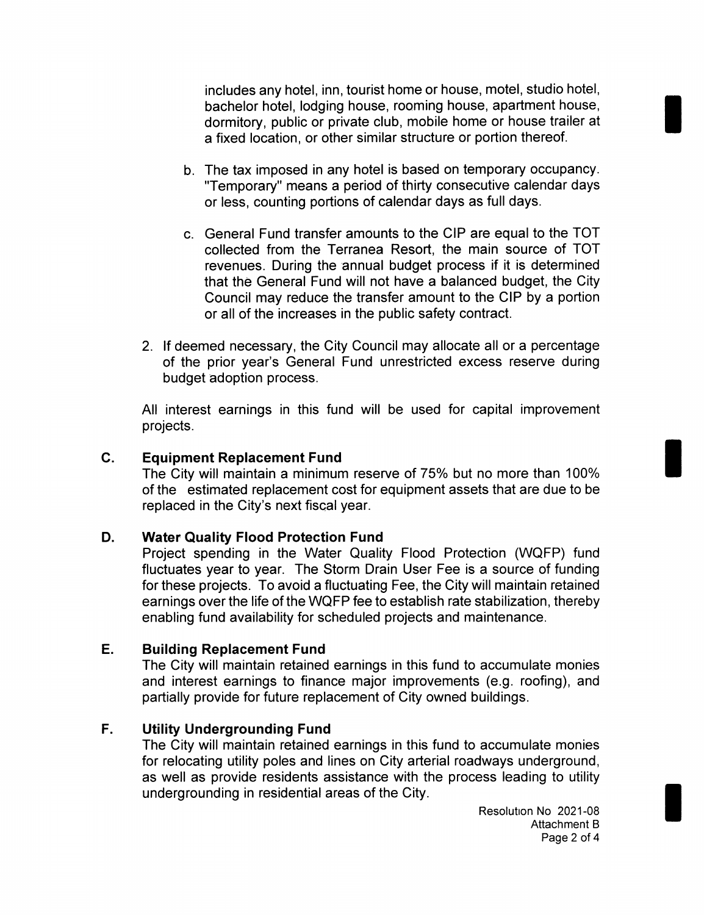includes any hotel, inn, tourist home or house, motel, studio hotel, bachelor hotel, lodging house, rooming house, apartment house, dormitory, public or private club, mobile home or house trailer at a fixed location, or other similar structure or portion thereof.

- b. The tax imposed in any hotel is based on temporary occupancy. Temporary" means a period of thirty consecutive calendar days or less, counting portions of calendar days as full days.
- c. General Fund transfer amounts to the CIP are equal to the TOT collected from the Terranea Resort, the main source of TOT revenues. During the annual budget process if it is determined that the General Fund will not have a balanced budget, the City Council may reduce the transfer amount to the CIP by <sup>a</sup> portion or all of the increases in the public safety contract.
- 2. If deemed necessary, the City Council may allocate all or <sup>a</sup> percentage of the prior year's General Fund unrestricted excess reserve during budget adoption process.

All interest earnings in this fund will be used for capital improvement projects.

## C. Equipment Replacement Fund

The City will maintain <sup>a</sup> minimum reserve of 75% but no more than 100% of the estimated replacement cost for equipment assets that are due to be replaced in the City's next fiscal year.

## D. Water Quality Flood Protection Fund

Project spending in the Water Quality Flood Protection (WQFP) fund fluctuates year to year. The Storm Drain User Fee is a source of funding for these projects. To avoid <sup>a</sup> fluctuating Fee, the City will maintain retained earnings over the life of the WQFP fee to establish rate stabilization, thereby enabling fund availability for scheduled projects and maintenance.

#### E. Building Replacement Fund

The City will maintain retained earnings in this fund to accumulate monies and interest earnings to finance major improvements (e.g. roofing), and partially provide for future replacement of City owned buildings.

## F. Utility Undergrounding Fund

The City will maintain retained earnings in this fund to accumulate monies for relocating utility poles and lines on City arterial roadways underground, as well as provide residents assistance with the process leading to utility undergrounding in residential areas of the City.

> Resolution No 2021-08 Attachment B Page 2 of 4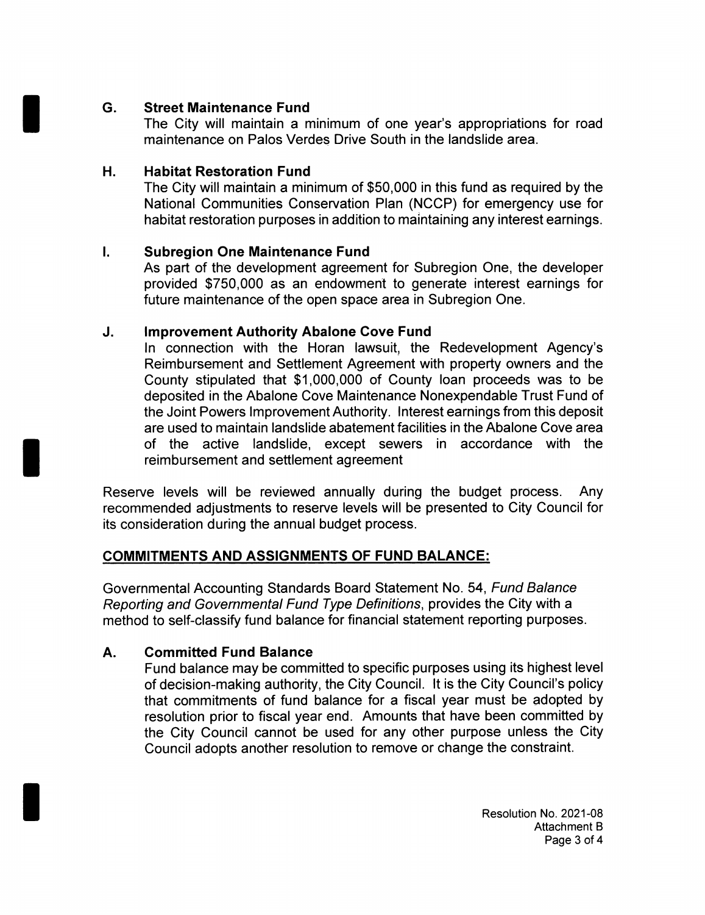# G. Street Maintenance Fund

The City will maintain <sup>a</sup> minimum of one year's appropriations for road maintenance on Palos Verdes Drive South in the landslide area.

## H. Habitat Restoration Fund

The City will maintain a minimum of \$50,000 in this fund as required by the National Communities Conservation Plan ( NCCP) for emergency use for habitat restoration purposes in addition to maintaining any interest earnings.

# I. Subregion One Maintenance Fund

As part of the development agreement for Subregion One, the developer provided \$750,000 as an endowment to generate interest earnings for future maintenance of the open space area in Subregion One.

# J. Improvement Authority Abalone Cove Fund

In connection with the Horan lawsuit, the Redevelopment Agency's Reimbursement and Settlement Agreement with property owners and the County stipulated that \$1,000,000 of County loan proceeds was to be deposited in the Abalone Cove Maintenance Nonexpendable Trust Fund of the Joint Powers Improvement Authority. Interest earnings from this deposit are used to maintain landslide abatement facilities in the Abalone Cove area of the active landslide, except sewers in accordance with the reimbursement and settlement agreement

Reserve levels will be reviewed annually during the budget process. Any recommended adjustments to reserve levels will be presented to City Council for its consideration during the annual budget process.

# COMMITMENTS AND ASSIGNMENTS OF FUND BALANCE:

Governmental Accounting Standards Board Statement No. 54, Fund Balance Reporting and Governmental Fund Type Definitions, provides the City with <sup>a</sup> method to self-classify fund balance for financial statement reporting purposes.

# A. Committed Fund Balance

Fund balance may be committed to specific purposes using its highest level of decision-making authority, the City Council. It is the City Council's policy that commitments of fund balance for a fiscal year must be adopted by resolution prior to fiscal year end. Amounts that have been committed by the City Council cannot be used for any other purpose unless the City Council adopts another resolution to remove or change the constraint.